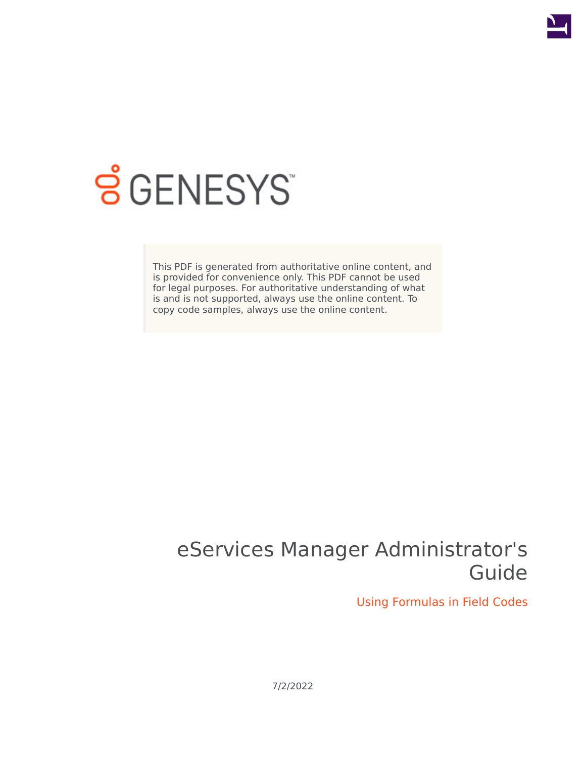

# **SGENESYS**

This PDF is generated from authoritative online content, and is provided for convenience only. This PDF cannot be used for legal purposes. For authoritative understanding of what is and is not supported, always use the online content. To copy code samples, always use the online content.

# eServices Manager Administrator's Guide

Using Formulas in Field Codes

7/2/2022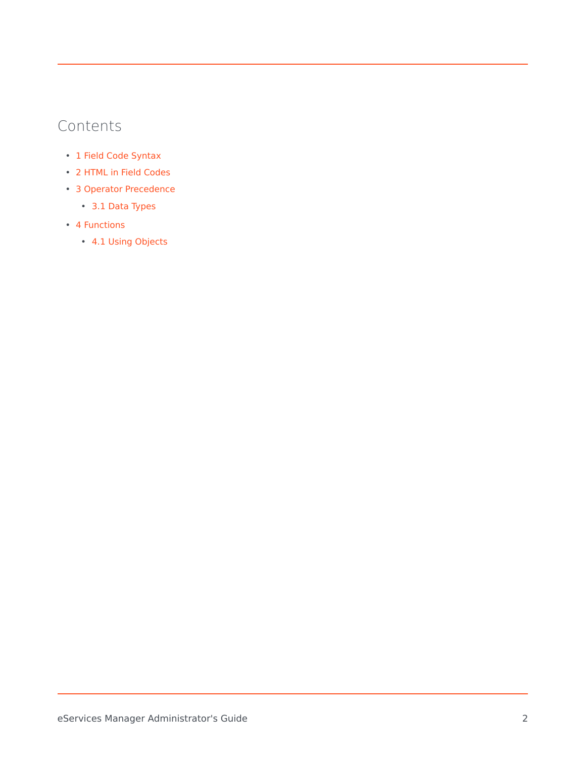### Contents

- 1 [Field Code Syntax](#page-2-0)
- 2 [HTML in Field Codes](#page-3-0)
- 3 [Operator Precedence](#page-3-1)
	- 3.1 [Data Types](#page-3-2)
- 4 [Functions](#page-4-0)
	- 4.1 [Using Objects](#page-5-0)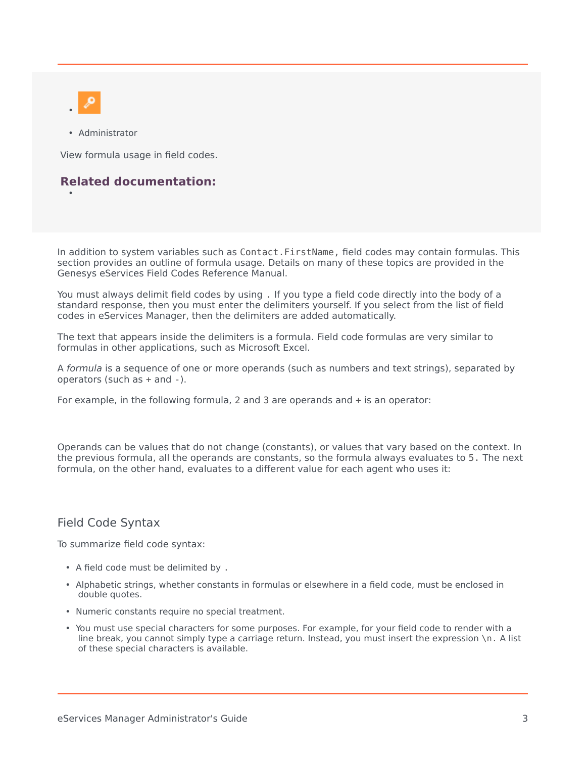

•

• Administrator

View formula usage in field codes.

#### **Related documentation:**

In addition to system variables such as Contact.FirstName, field codes may contain formulas. This section provides an outline of formula usage. Details on many of these topics are provided in the Genesys eServices Field Codes Reference Manual.

You must always delimit field codes by using . If you type a field code directly into the body of a standard response, then you must enter the delimiters yourself. If you select from the list of field codes in eServices Manager, then the delimiters are added automatically.

The text that appears inside the delimiters is a formula. Field code formulas are very similar to formulas in other applications, such as Microsoft Excel.

A *formula* is a sequence of one or more operands (such as numbers and text strings), separated by operators (such as + and -).

For example, in the following formula, 2 and 3 are operands and + is an operator:

Operands can be values that do not change (constants), or values that vary based on the context. In the previous formula, all the operands are constants, so the formula always evaluates to 5. The next formula, on the other hand, evaluates to a different value for each agent who uses it:

#### <span id="page-2-0"></span>Field Code Syntax

To summarize field code syntax:

- A field code must be delimited by .
- Alphabetic strings, whether constants in formulas or elsewhere in a field code, must be enclosed in double quotes.
- Numeric constants require no special treatment.
- You must use special characters for some purposes. For example, for your field code to render with a line break, you cannot simply type a carriage return. Instead, you must insert the expression \n. A list of these special characters is available.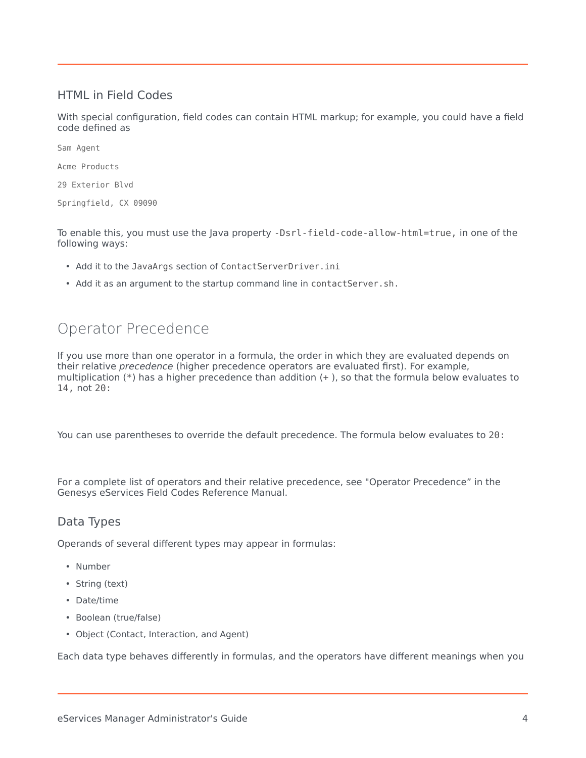#### <span id="page-3-0"></span>HTML in Field Codes

With special configuration, field codes can contain HTML markup; for example, you could have a field code defined as

Sam Agent

Acme Products

29 Exterior Blvd

Springfield, CX 09090

To enable this, you must use the Java property -Dsrl-field-code-allow-html=true, in one of the following ways:

- Add it to the JavaArgs section of ContactServerDriver.ini
- Add it as an argument to the startup command line in contactServer.sh.

## <span id="page-3-1"></span>Operator Precedence

If you use more than one operator in a formula, the order in which they are evaluated depends on their relative *precedence* (higher precedence operators are evaluated first). For example, multiplication (\*) has a higher precedence than addition (+ ), so that the formula below evaluates to 14, not 20:

You can use parentheses to override the default precedence. The formula below evaluates to 20:

For a complete list of operators and their relative precedence, see "Operator Precedence" in the Genesys eServices Field Codes Reference Manual.

#### <span id="page-3-2"></span>Data Types

Operands of several different types may appear in formulas:

- Number
- String (text)
- Date/time
- Boolean (true/false)
- Object (Contact, Interaction, and Agent)

Each data type behaves differently in formulas, and the operators have different meanings when you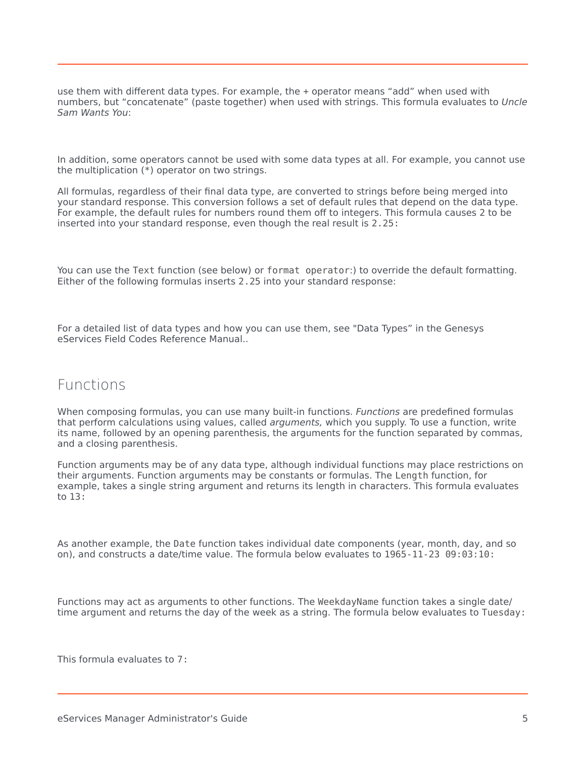use them with different data types. For example, the + operator means "add" when used with numbers, but "concatenate" (paste together) when used with strings. This formula evaluates to *Uncle Sam Wants You*:

In addition, some operators cannot be used with some data types at all. For example, you cannot use the multiplication (\*) operator on two strings.

All formulas, regardless of their final data type, are converted to strings before being merged into your standard response. This conversion follows a set of default rules that depend on the data type. For example, the default rules for numbers round them off to integers. This formula causes 2 to be inserted into your standard response, even though the real result is 2.25:

You can use the Text function (see below) or format operator:) to override the default formatting. Either of the following formulas inserts 2.25 into your standard response:

For a detailed list of data types and how you can use them, see "Data Types" in the Genesys eServices Field Codes Reference Manual..

#### <span id="page-4-0"></span>Functions

When composing formulas, you can use many built-in functions. *Functions* are predefined formulas that perform calculations using values, called *arguments,* which you supply. To use a function, write its name, followed by an opening parenthesis, the arguments for the function separated by commas, and a closing parenthesis.

Function arguments may be of any data type, although individual functions may place restrictions on their arguments. Function arguments may be constants or formulas. The Length function, for example, takes a single string argument and returns its length in characters. This formula evaluates to 13:

As another example, the Date function takes individual date components (year, month, day, and so on), and constructs a date/time value. The formula below evaluates to 1965-11-23 09:03:10:

Functions may act as arguments to other functions. The WeekdayName function takes a single date/ time argument and returns the day of the week as a string. The formula below evaluates to Tuesday:

This formula evaluates to 7: